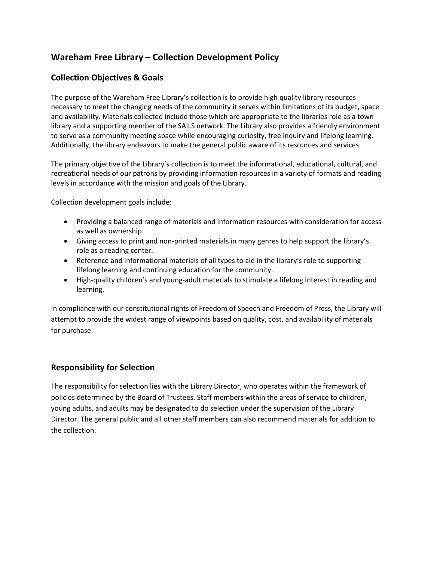# **Wareham Free Library – Collection Development Policy**

## **Collection Objectives & Goals**

The purpose of the Wareham Free Library's collection is to provide high quality library resources necessary to meet the changing needs of the community it serves within limitations of its budget, space and availability. Materials collected include those which are appropriate to the libraries role as a town library and a supporting member of the SAILS network. The Library also provides a friendly environment to serve as a community meeting space while encouraging curiosity, free inquiry and lifelong learning. Additionally, the library endeavors to make the general public aware of its resources and services.

The primary objective of the Library's collection is to meet the informational, educational, cultural, and recreational needs of our patrons by providing information resources in a variety of formats and reading levels in accordance with the mission and goals of the Library.

Collection development goals include:

- Providing a balanced range of materials and information resources with consideration for access as well as ownership.
- Giving access to print and non-printed materials in many genres to help support the library's role as a reading center.
- Reference and informational materials of all types to aid in the library's role to supporting lifelong learning and continuing education for the community.
- High-quality children's and young-adult materials to stimulate a lifelong interest in reading and learning.

In compliance with our constitutional rights of Freedom of Speech and Freedom of Press, the Library will attempt to provide the widest range of viewpoints based on quality, cost, and availability of materials for purchase.

### **Responsibility for Selection**

The responsibility for selection lies with the Library Director, who operates within the framework of policies determined by the Board of Trustees. Staff members within the areas of service to children, young adults, and adults may be designated to do selection under the supervision of the Library Director. The general public and all other staff members can also recommend materials for addition to the collection.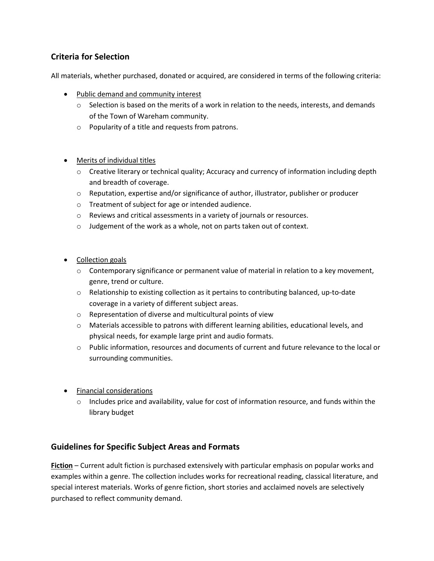## **Criteria for Selection**

All materials, whether purchased, donated or acquired, are considered in terms of the following criteria:

- Public demand and community interest
	- $\circ$  Selection is based on the merits of a work in relation to the needs, interests, and demands of the Town of Wareham community.
	- o Popularity of a title and requests from patrons.
- Merits of individual titles
	- o Creative literary or technical quality; Accuracy and currency of information including depth and breadth of coverage.
	- o Reputation, expertise and/or significance of author, illustrator, publisher or producer
	- o Treatment of subject for age or intended audience.
	- o Reviews and critical assessments in a variety of journals or resources.
	- o Judgement of the work as a whole, not on parts taken out of context.
- Collection goals
	- $\circ$  Contemporary significance or permanent value of material in relation to a key movement, genre, trend or culture.
	- $\circ$  Relationship to existing collection as it pertains to contributing balanced, up-to-date coverage in a variety of different subject areas.
	- o Representation of diverse and multicultural points of view
	- $\circ$  Materials accessible to patrons with different learning abilities, educational levels, and physical needs, for example large print and audio formats.
	- o Public information, resources and documents of current and future relevance to the local or surrounding communities.
- **•** Financial considerations
	- $\circ$  Includes price and availability, value for cost of information resource, and funds within the library budget

### **Guidelines for Specific Subject Areas and Formats**

**Fiction** – Current adult fiction is purchased extensively with particular emphasis on popular works and examples within a genre. The collection includes works for recreational reading, classical literature, and special interest materials. Works of genre fiction, short stories and acclaimed novels are selectively purchased to reflect community demand.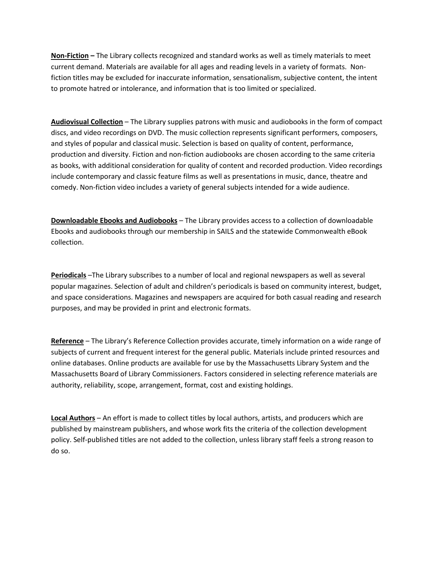**Non-Fiction –** The Library collects recognized and standard works as well as timely materials to meet current demand. Materials are available for all ages and reading levels in a variety of formats. Nonfiction titles may be excluded for inaccurate information, sensationalism, subjective content, the intent to promote hatred or intolerance, and information that is too limited or specialized.

**Audiovisual Collection** – The Library supplies patrons with music and audiobooks in the form of compact discs, and video recordings on DVD. The music collection represents significant performers, composers, and styles of popular and classical music. Selection is based on quality of content, performance, production and diversity. Fiction and non-fiction audiobooks are chosen according to the same criteria as books, with additional consideration for quality of content and recorded production. Video recordings include contemporary and classic feature films as well as presentations in music, dance, theatre and comedy. Non-fiction video includes a variety of general subjects intended for a wide audience.

**Downloadable Ebooks and Audiobooks** – The Library provides access to a collection of downloadable Ebooks and audiobooks through our membership in SAILS and the statewide Commonwealth eBook collection.

**Periodicals** –The Library subscribes to a number of local and regional newspapers as well as several popular magazines. Selection of adult and children's periodicals is based on community interest, budget, and space considerations. Magazines and newspapers are acquired for both casual reading and research purposes, and may be provided in print and electronic formats.

**Reference** – The Library's Reference Collection provides accurate, timely information on a wide range of subjects of current and frequent interest for the general public. Materials include printed resources and online databases. Online products are available for use by the Massachusetts Library System and the Massachusetts Board of Library Commissioners. Factors considered in selecting reference materials are authority, reliability, scope, arrangement, format, cost and existing holdings.

**Local Authors** – An effort is made to collect titles by local authors, artists, and producers which are published by mainstream publishers, and whose work fits the criteria of the collection development policy. Self-published titles are not added to the collection, unless library staff feels a strong reason to do so.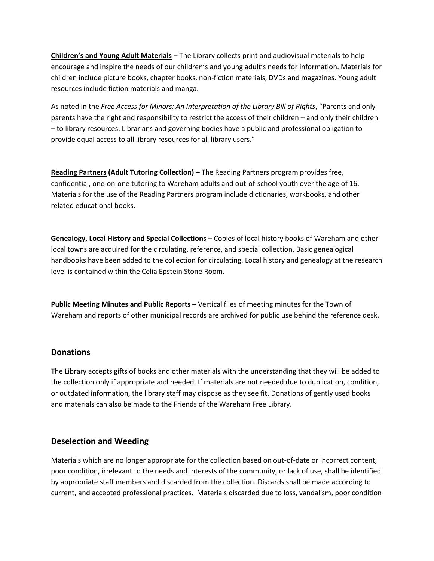**Children's and Young Adult Materials** – The Library collects print and audiovisual materials to help encourage and inspire the needs of our children's and young adult's needs for information. Materials for children include picture books, chapter books, non-fiction materials, DVDs and magazines. Young adult resources include fiction materials and manga.

As noted in the *Free Access for Minors: An Interpretation of the Library Bill of Rights*, "Parents and only parents have the right and responsibility to restrict the access of their children – and only their children – to library resources. Librarians and governing bodies have a public and professional obligation to provide equal access to all library resources for all library users."

**Reading Partners (Adult Tutoring Collection)** – The Reading Partners program provides free, confidential, one-on-one tutoring to Wareham adults and out-of-school youth over the age of 16. Materials for the use of the Reading Partners program include dictionaries, workbooks, and other related educational books.

**Genealogy, Local History and Special Collections** – Copies of local history books of Wareham and other local towns are acquired for the circulating, reference, and special collection. Basic genealogical handbooks have been added to the collection for circulating. Local history and genealogy at the research level is contained within the Celia Epstein Stone Room.

**Public Meeting Minutes and Public Reports** – Vertical files of meeting minutes for the Town of Wareham and reports of other municipal records are archived for public use behind the reference desk.

### **Donations**

The Library accepts gifts of books and other materials with the understanding that they will be added to the collection only if appropriate and needed. If materials are not needed due to duplication, condition, or outdated information, the library staff may dispose as they see fit. Donations of gently used books and materials can also be made to the Friends of the Wareham Free Library.

### **Deselection and Weeding**

Materials which are no longer appropriate for the collection based on out-of-date or incorrect content, poor condition, irrelevant to the needs and interests of the community, or lack of use, shall be identified by appropriate staff members and discarded from the collection. Discards shall be made according to current, and accepted professional practices. Materials discarded due to loss, vandalism, poor condition